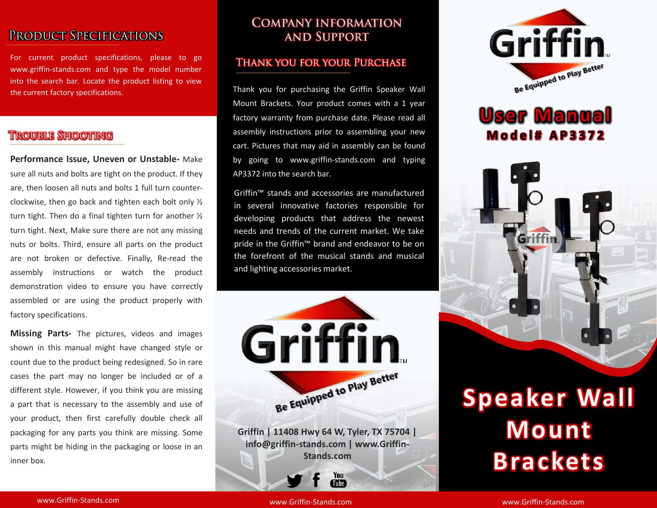# **PRODUCT SPECIFICATIONS**

For current product specifications, please to go www.griffin-stands.com and type the model number into the search bar. Locate the product listing to view the current factory specifications.

## **TROUBLE SHOOTING**

**Performance Issue, Uneven or Unstable-** Make sure all nuts and bolts are tight on the product. If they are, then loosen all nuts and bolts 1 full turn counterclockwise, then go back and tighten each bolt only ½ turn tight. Then do a final tighten turn for another ½ turn tight. Next, Make sure there are not any missing nuts or bolts. Third, ensure all parts on the product are not broken or defective. Finally, Re-read the assembly instructions or watch the product demonstration video to ensure you have correctly assembled or are using the product properly with factory specifications.

**Missing Parts-** The pictures, videos and images shown in this manual might have changed style or count due to the product being redesigned. So in rare cases the part may no longer be included or of a different style. However, if you think you are missing a part that is necessary to the assembly and use of your product, then first carefully double check all packaging for any parts you think are missing. Some parts might be hiding in the packaging or loose in an inner box.

### **COMPANY INFORMATION AND SUPPORT**

### **THANK YOU FOR YOUR PURCHASE**

Thank you for purchasing the Griffin Speaker Wall Mount Brackets. Your product comes with a 1 year factory warranty from purchase date. Please read all assembly instructions prior to assembling your new cart. Pictures that may aid in assembly can be found by going to www.griffin-stands.com and typing AP3372 into the search bar.

Griffin™ stands and accessories are manufactured in several innovative factories responsible for developing products that address the newest needs and trends of the current market. We take pride in the Griffin<sup>™</sup> brand and endeavor to be on the forefront of the musical stands and musical and lighting accessories market.



You Tube<sup>7</sup>



# **User Manual M o d e l # A P 3 3 7 2**



# **Speaker Wall Mount Brackets**

www.Griffin-Stands.com and the stands of the stands.com stands.com stands.com stands.com

www.Griffin-Stands.com